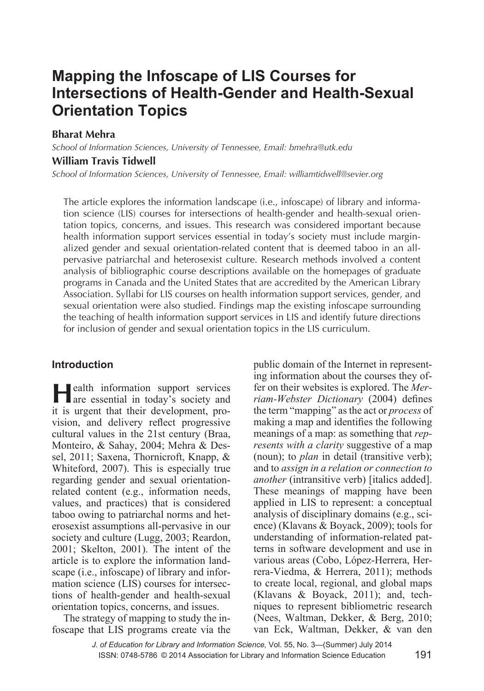# **Mapping the Infoscape of LIS Courses for Intersections of Health-Gender and Health-Sexual Orientation Topics**

**Bharat Mehra**

*School of Information Sciences, University of Tennessee, Email: bmehra@utk.edu*

## **William Travis Tidwell**

*School of Information Sciences, University of Tennessee, Email: williamtidwell@sevier.org*

The article explores the information landscape (i.e., infoscape) of library and information science (LIS) courses for intersections of health-gender and health-sexual orientation topics, concerns, and issues. This research was considered important because health information support services essential in today's society must include marginalized gender and sexual orientation-related content that is deemed taboo in an allpervasive patriarchal and heterosexist culture. Research methods involved a content analysis of bibliographic course descriptions available on the homepages of graduate programs in Canada and the United States that are accredited by the American Library Association. Syllabi for LIS courses on health information support services, gender, and sexual orientation were also studied. Findings map the existing infoscape surrounding the teaching of health information support services in LIS and identify future directions for inclusion of gender and sexual orientation topics in the LIS curriculum.

### **Introduction**

**Health information support services**<br>are essential in today's society and it is urgent that their development, provision, and delivery reflect progressive cultural values in the 21st century (Braa, Monteiro, & Sahay, 2004; Mehra & Dessel, 2011; Saxena, Thornicroft, Knapp, & Whiteford, 2007). This is especially true regarding gender and sexual orientationrelated content (e.g., information needs, values, and practices) that is considered taboo owing to patriarchal norms and heterosexist assumptions all-pervasive in our society and culture (Lugg, 2003; Reardon, 2001; Skelton, 2001). The intent of the article is to explore the information landscape (i.e., infoscape) of library and information science (LIS) courses for intersections of health-gender and health-sexual orientation topics, concerns, and issues.

The strategy of mapping to study the infoscape that LIS programs create via the public domain of the Internet in representing information about the courses they offer on their websites is explored. The *Merriam-Webster Dictionary* (2004) defines the term "mapping" as the act or *process* of making a map and identifies the following meanings of a map: as something that *represents with a clarity* suggestive of a map (noun); to *plan* in detail (transitive verb); and to *assign in a relation or connection to another* (intransitive verb) [italics added]. These meanings of mapping have been applied in LIS to represent: a conceptual analysis of disciplinary domains (e.g., science) (Klavans & Boyack, 2009); tools for understanding of information-related patterns in software development and use in various areas (Cobo, López-Herrera, Herrera-Viedma, & Herrera, 2011); methods to create local, regional, and global maps (Klavans & Boyack, 2011); and, techniques to represent bibliometric research (Nees, Waltman, Dekker, & Berg, 2010; van Eck, Waltman, Dekker, & van den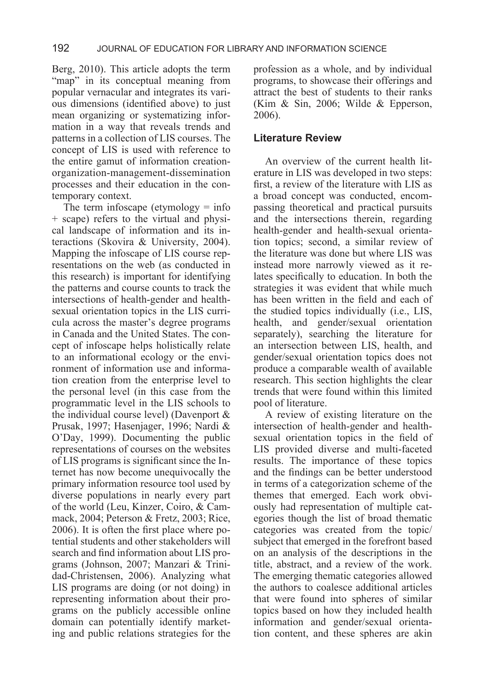Berg, 2010). This article adopts the term "map" in its conceptual meaning from popular vernacular and integrates its various dimensions (identified above) to just mean organizing or systematizing information in a way that reveals trends and patterns in a collection of LIS courses. The concept of LIS is used with reference to the entire gamut of information creationorganization-management-dissemination processes and their education in the contemporary context.

The term infoscape (etymology  $=$  info + scape) refers to the virtual and physical landscape of information and its interactions (Skovira & University, 2004). Mapping the infoscape of LIS course representations on the web (as conducted in this research) is important for identifying the patterns and course counts to track the intersections of health-gender and healthsexual orientation topics in the LIS curricula across the master's degree programs in Canada and the United States. The concept of infoscape helps holistically relate to an informational ecology or the environment of information use and information creation from the enterprise level to the personal level (in this case from the programmatic level in the LIS schools to the individual course level) (Davenport & Prusak, 1997; Hasenjager, 1996; Nardi & O'Day, 1999). Documenting the public representations of courses on the websites of LIS programs is significant since the Internet has now become unequivocally the primary information resource tool used by diverse populations in nearly every part of the world (Leu, Kinzer, Coiro, & Cammack, 2004; Peterson & Fretz, 2003; Rice, 2006). It is often the first place where potential students and other stakeholders will search and find information about LIS programs (Johnson, 2007; Manzari & Trinidad-Christensen, 2006). Analyzing what LIS programs are doing (or not doing) in representing information about their programs on the publicly accessible online domain can potentially identify marketing and public relations strategies for the

profession as a whole, and by individual programs, to showcase their offerings and attract the best of students to their ranks (Kim & Sin, 2006; Wilde & Epperson, 2006).

#### **Literature Review**

An overview of the current health literature in LIS was developed in two steps: first, a review of the literature with LIS as a broad concept was conducted, encompassing theoretical and practical pursuits and the intersections therein, regarding health-gender and health-sexual orientation topics; second, a similar review of the literature was done but where LIS was instead more narrowly viewed as it relates specifically to education. In both the strategies it was evident that while much has been written in the field and each of the studied topics individually (i.e., LIS, health, and gender/sexual orientation separately), searching the literature for an intersection between LIS, health, and gender/sexual orientation topics does not produce a comparable wealth of available research. This section highlights the clear trends that were found within this limited pool of literature.

A review of existing literature on the intersection of health-gender and healthsexual orientation topics in the field of LIS provided diverse and multi-faceted results. The importance of these topics and the findings can be better understood in terms of a categorization scheme of the themes that emerged. Each work obviously had representation of multiple categories though the list of broad thematic categories was created from the topic/ subject that emerged in the forefront based on an analysis of the descriptions in the title, abstract, and a review of the work. The emerging thematic categories allowed the authors to coalesce additional articles that were found into spheres of similar topics based on how they included health information and gender/sexual orientation content, and these spheres are akin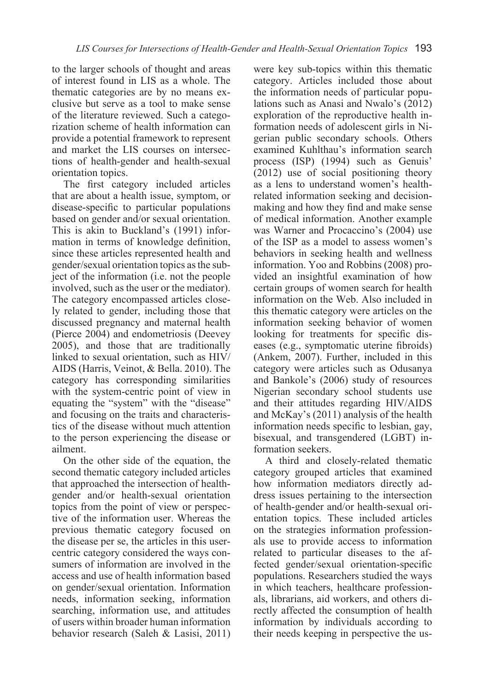to the larger schools of thought and areas of interest found in LIS as a whole. The thematic categories are by no means exclusive but serve as a tool to make sense of the literature reviewed. Such a categorization scheme of health information can provide a potential framework to represent and market the LIS courses on intersections of health-gender and health-sexual orientation topics.

The first category included articles that are about a health issue, symptom, or disease-specific to particular populations based on gender and/or sexual orientation. This is akin to Buckland's (1991) information in terms of knowledge definition, since these articles represented health and gender/sexual orientation topics as the subject of the information (i.e. not the people involved, such as the user or the mediator). The category encompassed articles closely related to gender, including those that discussed pregnancy and maternal health (Pierce 2004) and endometriosis (Deevey 2005), and those that are traditionally linked to sexual orientation, such as HIV/ AIDS (Harris, Veinot, & Bella. 2010). The category has corresponding similarities with the system-centric point of view in equating the "system" with the "disease" and focusing on the traits and characteristics of the disease without much attention to the person experiencing the disease or ailment.

On the other side of the equation, the second thematic category included articles that approached the intersection of healthgender and/or health-sexual orientation topics from the point of view or perspective of the information user. Whereas the previous thematic category focused on the disease per se, the articles in this usercentric category considered the ways consumers of information are involved in the access and use of health information based on gender/sexual orientation. Information needs, information seeking, information searching, information use, and attitudes of users within broader human information behavior research (Saleh & Lasisi, 2011) were key sub-topics within this thematic category. Articles included those about the information needs of particular populations such as Anasi and Nwalo's (2012) exploration of the reproductive health information needs of adolescent girls in Nigerian public secondary schools. Others examined Kuhlthau's information search process (ISP) (1994) such as Genuis' (2012) use of social positioning theory as a lens to understand women's healthrelated information seeking and decisionmaking and how they find and make sense of medical information. Another example was Warner and Procaccino's (2004) use of the ISP as a model to assess women's behaviors in seeking health and wellness information. Yoo and Robbins (2008) provided an insightful examination of how certain groups of women search for health information on the Web. Also included in this thematic category were articles on the information seeking behavior of women looking for treatments for specific diseases (e.g., symptomatic uterine fibroids) (Ankem, 2007). Further, included in this category were articles such as Odusanya and Bankole's (2006) study of resources Nigerian secondary school students use and their attitudes regarding HIV/AIDS and McKay's (2011) analysis of the health information needs specific to lesbian, gay, bisexual, and transgendered (LGBT) information seekers.

A third and closely-related thematic category grouped articles that examined how information mediators directly address issues pertaining to the intersection of health-gender and/or health-sexual orientation topics. These included articles on the strategies information professionals use to provide access to information related to particular diseases to the affected gender/sexual orientation-specific populations. Researchers studied the ways in which teachers, healthcare professionals, librarians, aid workers, and others directly affected the consumption of health information by individuals according to their needs keeping in perspective the us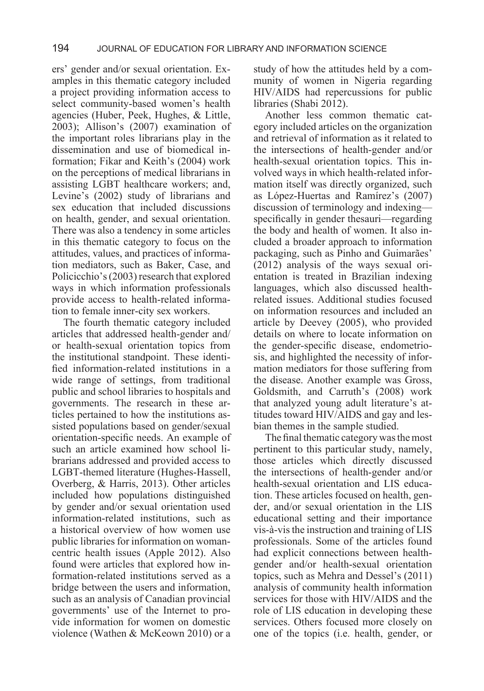ers' gender and/or sexual orientation. Examples in this thematic category included a project providing information access to select community-based women's health agencies (Huber, Peek, Hughes, & Little, 2003); Allison's (2007) examination of the important roles librarians play in the dissemination and use of biomedical information; Fikar and Keith's (2004) work on the perceptions of medical librarians in assisting LGBT healthcare workers; and, Levine's (2002) study of librarians and sex education that included discussions on health, gender, and sexual orientation. There was also a tendency in some articles in this thematic category to focus on the attitudes, values, and practices of information mediators, such as Baker, Case, and Policicchio's (2003) research that explored ways in which information professionals provide access to health-related information to female inner-city sex workers.

The fourth thematic category included articles that addressed health-gender and/ or health-sexual orientation topics from the institutional standpoint. These identified information-related institutions in a wide range of settings, from traditional public and school libraries to hospitals and governments. The research in these articles pertained to how the institutions assisted populations based on gender/sexual orientation-specific needs. An example of such an article examined how school librarians addressed and provided access to LGBT-themed literature (Hughes-Hassell, Overberg, & Harris, 2013). Other articles included how populations distinguished by gender and/or sexual orientation used information-related institutions, such as a historical overview of how women use public libraries for information on womancentric health issues (Apple 2012). Also found were articles that explored how information-related institutions served as a bridge between the users and information, such as an analysis of Canadian provincial governments' use of the Internet to provide information for women on domestic violence (Wathen & McKeown 2010) or a study of how the attitudes held by a community of women in Nigeria regarding HIV/AIDS had repercussions for public libraries (Shabi 2012).

Another less common thematic category included articles on the organization and retrieval of information as it related to the intersections of health-gender and/or health-sexual orientation topics. This involved ways in which health-related information itself was directly organized, such as López-Huertas and Ramírez's (2007) discussion of terminology and indexing specifically in gender thesauri—regarding the body and health of women. It also included a broader approach to information packaging, such as Pinho and Guimarães' (2012) analysis of the ways sexual orientation is treated in Brazilian indexing languages, which also discussed healthrelated issues. Additional studies focused on information resources and included an article by Deevey (2005), who provided details on where to locate information on the gender-specific disease, endometriosis, and highlighted the necessity of information mediators for those suffering from the disease. Another example was Gross, Goldsmith, and Carruth's (2008) work that analyzed young adult literature's attitudes toward HIV/AIDS and gay and lesbian themes in the sample studied.

The final thematic category was the most pertinent to this particular study, namely, those articles which directly discussed the intersections of health-gender and/or health-sexual orientation and LIS education. These articles focused on health, gender, and/or sexual orientation in the LIS educational setting and their importance vis-à-vis the instruction and training of LIS professionals. Some of the articles found had explicit connections between healthgender and/or health-sexual orientation topics, such as Mehra and Dessel's (2011) analysis of community health information services for those with HIV/AIDS and the role of LIS education in developing these services. Others focused more closely on one of the topics (i.e. health, gender, or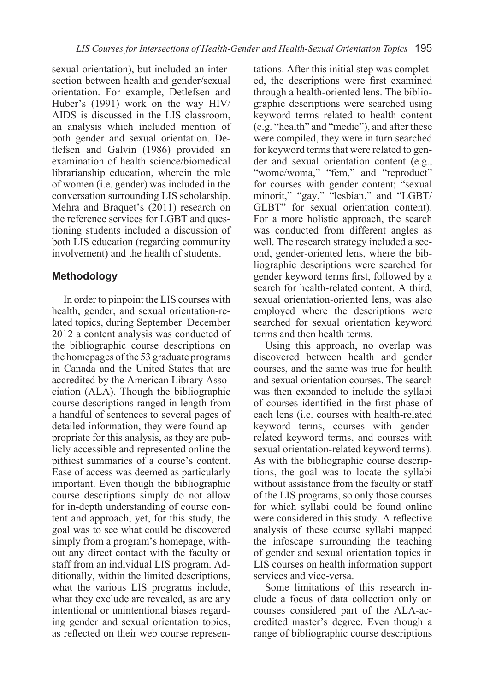sexual orientation), but included an intersection between health and gender/sexual orientation. For example, Detlefsen and Huber's (1991) work on the way HIV/ AIDS is discussed in the LIS classroom, an analysis which included mention of both gender and sexual orientation. Detlefsen and Galvin (1986) provided an examination of health science/biomedical librarianship education, wherein the role of women (i.e. gender) was included in the conversation surrounding LIS scholarship. Mehra and Braquet's (2011) research on the reference services for LGBT and questioning students included a discussion of both LIS education (regarding community involvement) and the health of students.

## **Methodology**

In order to pinpoint the LIS courses with health, gender, and sexual orientation-related topics, during September–December 2012 a content analysis was conducted of the bibliographic course descriptions on the homepages of the 53 graduate programs in Canada and the United States that are accredited by the American Library Association (ALA). Though the bibliographic course descriptions ranged in length from a handful of sentences to several pages of detailed information, they were found appropriate for this analysis, as they are publicly accessible and represented online the pithiest summaries of a course's content. Ease of access was deemed as particularly important. Even though the bibliographic course descriptions simply do not allow for in-depth understanding of course content and approach, yet, for this study, the goal was to see what could be discovered simply from a program's homepage, without any direct contact with the faculty or staff from an individual LIS program. Additionally, within the limited descriptions, what the various LIS programs include, what they exclude are revealed, as are any intentional or unintentional biases regarding gender and sexual orientation topics, as reflected on their web course represen-

tations. After this initial step was completed, the descriptions were first examined through a health-oriented lens. The bibliographic descriptions were searched using keyword terms related to health content (e.g. "health" and "medic"), and after these were compiled, they were in turn searched for keyword terms that were related to gender and sexual orientation content (e.g., "wome/woma," "fem," and "reproduct" for courses with gender content; "sexual minorit," "gay," "lesbian," and "LGBT/ GLBT" for sexual orientation content). For a more holistic approach, the search was conducted from different angles as well. The research strategy included a second, gender-oriented lens, where the bibliographic descriptions were searched for gender keyword terms first, followed by a search for health-related content. A third, sexual orientation-oriented lens, was also employed where the descriptions were searched for sexual orientation keyword terms and then health terms.

Using this approach, no overlap was discovered between health and gender courses, and the same was true for health and sexual orientation courses. The search was then expanded to include the syllabi of courses identified in the first phase of each lens (i.e. courses with health-related keyword terms, courses with genderrelated keyword terms, and courses with sexual orientation-related keyword terms). As with the bibliographic course descriptions, the goal was to locate the syllabi without assistance from the faculty or staff of the LIS programs, so only those courses for which syllabi could be found online were considered in this study. A reflective analysis of these course syllabi mapped the infoscape surrounding the teaching of gender and sexual orientation topics in LIS courses on health information support services and vice-versa.

Some limitations of this research include a focus of data collection only on courses considered part of the ALA-accredited master's degree. Even though a range of bibliographic course descriptions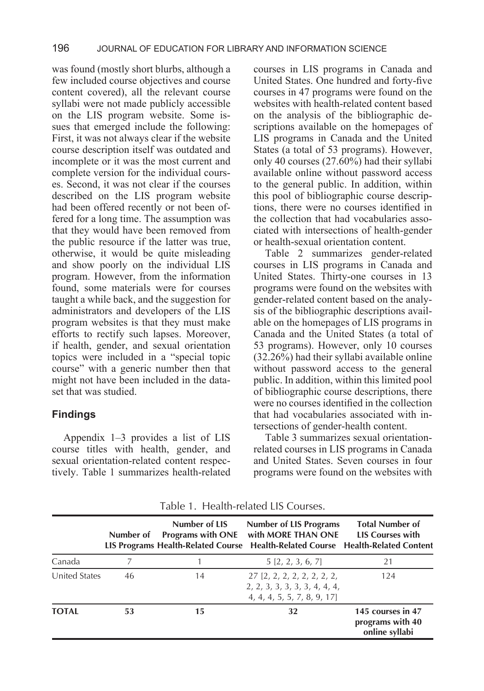was found (mostly short blurbs, although a few included course objectives and course content covered), all the relevant course syllabi were not made publicly accessible on the LIS program website. Some issues that emerged include the following: First, it was not always clear if the website course description itself was outdated and incomplete or it was the most current and complete version for the individual courses. Second, it was not clear if the courses described on the LIS program website had been offered recently or not been offered for a long time. The assumption was that they would have been removed from the public resource if the latter was true, otherwise, it would be quite misleading and show poorly on the individual LIS program. However, from the information found, some materials were for courses taught a while back, and the suggestion for administrators and developers of the LIS program websites is that they must make efforts to rectify such lapses. Moreover, if health, gender, and sexual orientation topics were included in a "special topic course" with a generic number then that might not have been included in the dataset that was studied.

#### **Findings**

Appendix 1–3 provides a list of LIS course titles with health, gender, and sexual orientation-related content respectively. Table 1 summarizes health-related

courses in LIS programs in Canada and United States. One hundred and forty-five courses in 47 programs were found on the websites with health-related content based on the analysis of the bibliographic descriptions available on the homepages of LIS programs in Canada and the United States (a total of 53 programs). However, only 40 courses (27.60%) had their syllabi available online without password access to the general public. In addition, within this pool of bibliographic course descriptions, there were no courses identified in the collection that had vocabularies associated with intersections of health-gender or health-sexual orientation content.

Table 2 summarizes gender-related courses in LIS programs in Canada and United States. Thirty-one courses in 13 programs were found on the websites with gender-related content based on the analysis of the bibliographic descriptions available on the homepages of LIS programs in Canada and the United States (a total of 53 programs). However, only 10 courses (32.26%) had their syllabi available online without password access to the general public. In addition, within this limited pool of bibliographic course descriptions, there were no courses identified in the collection that had vocabularies associated with intersections of gender-health content.

Table 3 summarizes sexual orientationrelated courses in LIS programs in Canada and United States. Seven courses in four programs were found on the websites with

|               | Number of | Number of LIS<br><b>Programs with ONE</b> | <b>Number of LIS Programs</b><br>with MORE THAN ONE<br>LIS Programs Health-Related Course Health-Related Course Health-Related Content | <b>Total Number of</b><br><b>LIS Courses with</b>       |
|---------------|-----------|-------------------------------------------|----------------------------------------------------------------------------------------------------------------------------------------|---------------------------------------------------------|
| Canada        |           |                                           | 5[2, 2, 3, 6, 7]                                                                                                                       | 21                                                      |
| United States | 46        | 14                                        | $27$ [2, 2, 2, 2, 2, 2, 2, 2,<br>2, 2, 3, 3, 3, 3, 3, 4, 4, 4,<br>4, 4, 4, 5, 5, 7, 8, 9, 17]                                          | 124                                                     |
| <b>TOTAL</b>  | 53        | 15                                        | 32                                                                                                                                     | 145 courses in 47<br>programs with 40<br>online syllabi |

Table 1. Health-related LIS Courses.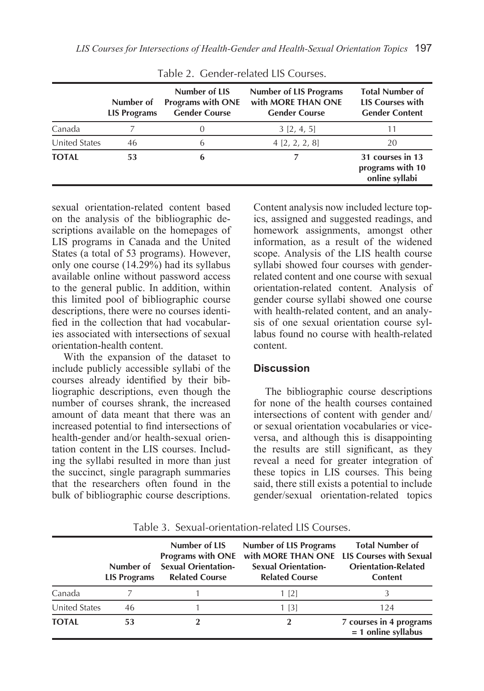|               | Number of<br><b>LIS Programs</b> | Number of LIS<br><b>Programs with ONE</b><br><b>Gender Course</b> | <b>Number of LIS Programs</b><br>with MORE THAN ONE<br><b>Gender Course</b> | <b>Total Number of</b><br><b>LIS Courses with</b><br><b>Gender Content</b> |
|---------------|----------------------------------|-------------------------------------------------------------------|-----------------------------------------------------------------------------|----------------------------------------------------------------------------|
| Canada        |                                  |                                                                   | 3[2, 4, 5]                                                                  | 11                                                                         |
| United States | 46                               | 6                                                                 | 4 [2, 2, 2, 8]                                                              | 20                                                                         |
| <b>TOTAL</b>  | 53                               | 6                                                                 |                                                                             | 31 courses in 13<br>programs with 10<br>online syllabi                     |

Table 2. Gender-related LIS Courses.

sexual orientation-related content based on the analysis of the bibliographic descriptions available on the homepages of LIS programs in Canada and the United States (a total of 53 programs). However, only one course  $(14.29\%)$  had its syllabus available online without password access to the general public. In addition, within this limited pool of bibliographic course descriptions, there were no courses identified in the collection that had vocabularies associated with intersections of sexual orientation-health content.

With the expansion of the dataset to include publicly accessible syllabi of the courses already identified by their bibliographic descriptions, even though the number of courses shrank, the increased amount of data meant that there was an increased potential to find intersections of health-gender and/or health-sexual orientation content in the LIS courses. Including the syllabi resulted in more than just the succinct, single paragraph summaries that the researchers often found in the bulk of bibliographic course descriptions.

Content analysis now included lecture topics, assigned and suggested readings, and homework assignments, amongst other information, as a result of the widened scope. Analysis of the LIS health course syllabi showed four courses with genderrelated content and one course with sexual orientation-related content. Analysis of gender course syllabi showed one course with health-related content, and an analysis of one sexual orientation course syllabus found no course with health-related content.

#### **Discussion**

The bibliographic course descriptions for none of the health courses contained intersections of content with gender and/ or sexual orientation vocabularies or viceversa, and although this is disappointing the results are still significant, as they reveal a need for greater integration of these topics in LIS courses. This being said, there still exists a potential to include gender/sexual orientation-related topics

|               | Number of<br><b>LIS Programs</b> | Number of LIS<br><b>Sexual Orientation-</b><br><b>Related Course</b> | <b>Number of LIS Programs</b><br>Programs with ONE with MORE THAN ONE LIS Courses with Sexual<br><b>Sexual Orientation-</b><br><b>Related Course</b> | <b>Total Number of</b><br><b>Orientation-Related</b><br><b>Content</b> |
|---------------|----------------------------------|----------------------------------------------------------------------|------------------------------------------------------------------------------------------------------------------------------------------------------|------------------------------------------------------------------------|
| Canada        |                                  |                                                                      | $1 \; 2$                                                                                                                                             |                                                                        |
| United States | 46                               |                                                                      | 1 [3]                                                                                                                                                | 124                                                                    |
| <b>TOTAL</b>  | 53                               |                                                                      | $\mathbf 2$                                                                                                                                          | 7 courses in 4 programs<br>$= 1$ online syllabus                       |

Table 3. Sexual-orientation-related LIS Courses.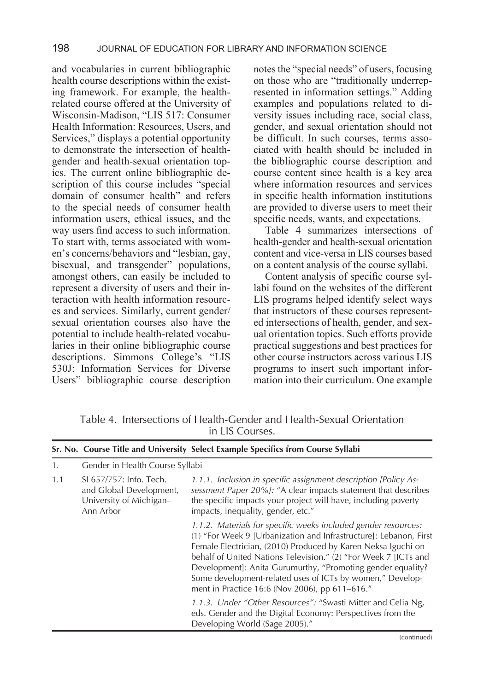and vocabularies in current bibliographic health course descriptions within the existing framework. For example, the healthrelated course offered at the University of Wisconsin-Madison, "LIS 517: Consumer Health Information: Resources, Users, and Services," displays a potential opportunity to demonstrate the intersection of healthgender and health-sexual orientation topics. The current online bibliographic description of this course includes "special domain of consumer health" and refers to the special needs of consumer health information users, ethical issues, and the way users find access to such information. To start with, terms associated with women's concerns/behaviors and "lesbian, gay, bisexual, and transgender" populations, amongst others, can easily be included to represent a diversity of users and their interaction with health information resources and services. Similarly, current gender/ sexual orientation courses also have the potential to include health-related vocabularies in their online bibliographic course descriptions. Simmons College's "LIS 530J: Information Services for Diverse Users" bibliographic course description

notes the "special needs" of users, focusing on those who are "traditionally underrepresented in information settings." Adding examples and populations related to diversity issues including race, social class, gender, and sexual orientation should not be difficult. In such courses, terms associated with health should be included in the bibliographic course description and course content since health is a key area where information resources and services in specific health information institutions are provided to diverse users to meet their specific needs, wants, and expectations.

Table 4 summarizes intersections of health-gender and health-sexual orientation content and vice-versa in LIS courses based on a content analysis of the course syllabi.

Content analysis of specific course syllabi found on the websites of the different LIS programs helped identify select ways that instructors of these courses represented intersections of health, gender, and sexual orientation topics. Such efforts provide practical suggestions and best practices for other course instructors across various LIS programs to insert such important information into their curriculum. One example

|     |                                                                                            | Sr. No. Course Title and University Select Example Specifics from Course Syllabi                                                                                                                                                                                                                                                                                                                                                                     |  |
|-----|--------------------------------------------------------------------------------------------|------------------------------------------------------------------------------------------------------------------------------------------------------------------------------------------------------------------------------------------------------------------------------------------------------------------------------------------------------------------------------------------------------------------------------------------------------|--|
| 1.  | Gender in Health Course Syllabi                                                            |                                                                                                                                                                                                                                                                                                                                                                                                                                                      |  |
| 1.1 | SI 657/757: Info. Tech.<br>and Global Development,<br>University of Michigan-<br>Ann Arbor | 1.1.1. Inclusion in specific assignment description [Policy As-<br>sessment Paper 20%]: "A clear impacts statement that describes<br>the specific impacts your project will have, including poverty<br>impacts, inequality, gender, etc."                                                                                                                                                                                                            |  |
|     |                                                                                            | 1.1.2. Materials for specific weeks included gender resources:<br>(1) "For Week 9 [Urbanization and Infrastructure]: Lebanon, First<br>Female Electrician, (2010) Produced by Karen Neksa Iguchi on<br>behalf of United Nations Television." (2) "For Week 7 [ICTs and<br>Development]: Anita Gurumurthy, "Promoting gender equality?<br>Some development-related uses of ICTs by women," Develop-<br>ment in Practice 16:6 (Nov 2006), pp 611-616." |  |
|     |                                                                                            | 1.1.3. Under "Other Resources": "Swasti Mitter and Celia Ng,<br>eds. Gender and the Digital Economy: Perspectives from the<br>Developing World (Sage 2005)."                                                                                                                                                                                                                                                                                         |  |

Table 4. Intersections of Health-Gender and Health-Sexual Orientation in LIS Courses.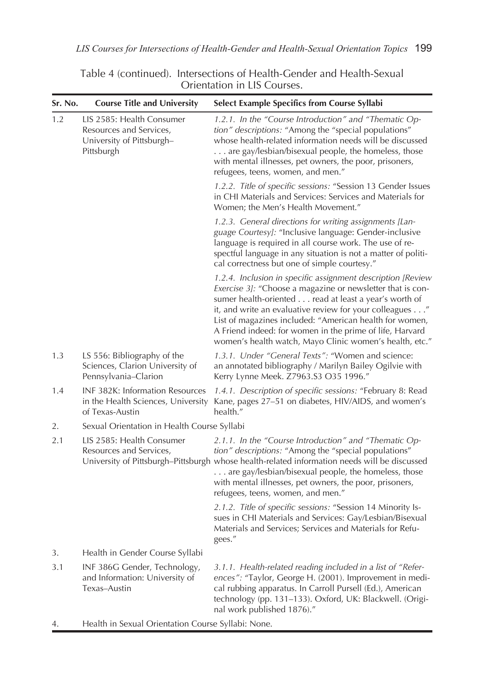| Sr. No. | <b>Course Title and University</b>                                                              | Select Example Specifics from Course Syllabi                                                                                                                                                                                                                                                                                                                                                                                    |
|---------|-------------------------------------------------------------------------------------------------|---------------------------------------------------------------------------------------------------------------------------------------------------------------------------------------------------------------------------------------------------------------------------------------------------------------------------------------------------------------------------------------------------------------------------------|
| 1.2     | LIS 2585: Health Consumer<br>Resources and Services,<br>University of Pittsburgh-<br>Pittsburgh | 1.2.1. In the "Course Introduction" and "Thematic Op-<br>tion" descriptions: "Among the "special populations"<br>whose health-related information needs will be discussed<br>are gay/lesbian/bisexual people, the homeless, those<br>with mental illnesses, pet owners, the poor, prisoners,<br>refugees, teens, women, and men."                                                                                               |
|         |                                                                                                 | 1.2.2. Title of specific sessions: "Session 13 Gender Issues<br>in CHI Materials and Services: Services and Materials for<br>Women; the Men's Health Movement."                                                                                                                                                                                                                                                                 |
|         |                                                                                                 | 1.2.3. General directions for writing assignments [Lan-<br>guage Courtesy]: "Inclusive language: Gender-inclusive<br>language is required in all course work. The use of re-<br>spectful language in any situation is not a matter of politi-<br>cal correctness but one of simple courtesy."                                                                                                                                   |
|         |                                                                                                 | 1.2.4. Inclusion in specific assignment description [Review<br>Exercise 3]: "Choose a magazine or newsletter that is con-<br>sumer health-oriented read at least a year's worth of<br>it, and write an evaluative review for your colleagues"<br>List of magazines included: "American health for women,<br>A Friend indeed: for women in the prime of life, Harvard<br>women's health watch, Mayo Clinic women's health, etc." |
| 1.3     | LS 556: Bibliography of the<br>Sciences, Clarion University of<br>Pennsylvania-Clarion          | 1.3.1. Under "General Texts": "Women and science:<br>an annotated bibliography / Marilyn Bailey Ogilvie with<br>Kerry Lynne Meek. Z7963.S3 O35 1996."                                                                                                                                                                                                                                                                           |
| 1.4     | INF 382K: Information Resources<br>in the Health Sciences, University<br>of Texas-Austin        | 1.4.1. Description of specific sessions: "February 8: Read<br>Kane, pages 27-51 on diabetes, HIV/AIDS, and women's<br>health."                                                                                                                                                                                                                                                                                                  |
| 2.      | Sexual Orientation in Health Course Syllabi                                                     |                                                                                                                                                                                                                                                                                                                                                                                                                                 |
| 2.1     | LIS 2585: Health Consumer<br>Resources and Services,                                            | 2.1.1. In the "Course Introduction" and "Thematic Op-<br>tion" descriptions: "Among the "special populations"<br>University of Pittsburgh-Pittsburgh whose health-related information needs will be discussed<br>are gay/lesbian/bisexual people, the homeless, those<br>with mental illnesses, pet owners, the poor, prisoners,<br>refugees, teens, women, and men."                                                           |
|         |                                                                                                 | 2.1.2. Title of specific sessions: "Session 14 Minority Is-<br>sues in CHI Materials and Services: Gay/Lesbian/Bisexual<br>Materials and Services; Services and Materials for Refu-<br>gees."                                                                                                                                                                                                                                   |
| 3.      | Health in Gender Course Syllabi                                                                 |                                                                                                                                                                                                                                                                                                                                                                                                                                 |
| 3.1     | INF 386G Gender, Technology,<br>and Information: University of<br>Texas-Austin                  | 3.1.1. Health-related reading included in a list of "Refer-<br>ences": "Taylor, George H. (2001). Improvement in medi-<br>cal rubbing apparatus. In Carroll Pursell (Ed.), American<br>technology (pp. 131-133). Oxford, UK: Blackwell. (Origi-<br>nal work published 1876)."                                                                                                                                                   |

Table 4 (continued). Intersections of Health-Gender and Health-Sexual Orientation in LIS Courses.

4. Health in Sexual Orientation Course Syllabi: None.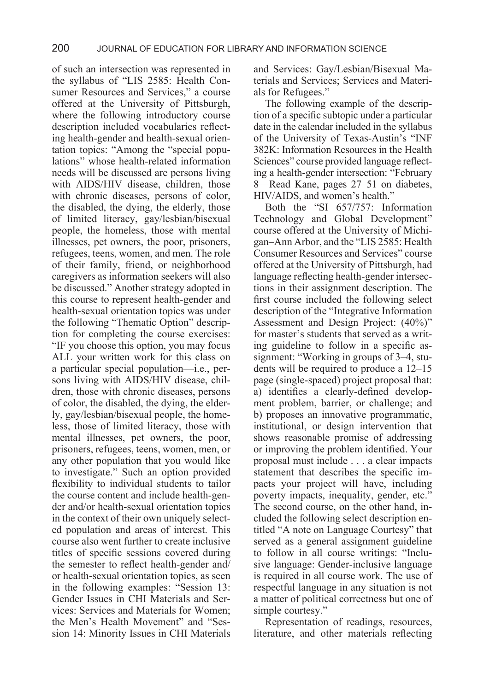of such an intersection was represented in the syllabus of "LIS 2585: Health Consumer Resources and Services," a course offered at the University of Pittsburgh, where the following introductory course description included vocabularies reflecting health-gender and health-sexual orientation topics: "Among the "special populations" whose health-related information needs will be discussed are persons living with AIDS/HIV disease, children, those with chronic diseases, persons of color, the disabled, the dying, the elderly, those of limited literacy, gay/lesbian/bisexual people, the homeless, those with mental illnesses, pet owners, the poor, prisoners, refugees, teens, women, and men. The role of their family, friend, or neighborhood caregivers as information seekers will also be discussed." Another strategy adopted in this course to represent health-gender and health-sexual orientation topics was under the following "Thematic Option" description for completing the course exercises: "IF you choose this option, you may focus ALL your written work for this class on a particular special population—i.e., persons living with AIDS/HIV disease, children, those with chronic diseases, persons of color, the disabled, the dying, the elderly, gay/lesbian/bisexual people, the homeless, those of limited literacy, those with mental illnesses, pet owners, the poor, prisoners, refugees, teens, women, men, or any other population that you would like to investigate." Such an option provided flexibility to individual students to tailor the course content and include health-gender and/or health-sexual orientation topics in the context of their own uniquely selected population and areas of interest. This course also went further to create inclusive titles of specific sessions covered during the semester to reflect health-gender and/ or health-sexual orientation topics, as seen in the following examples: "Session 13: Gender Issues in CHI Materials and Services: Services and Materials for Women; the Men's Health Movement" and "Session 14: Minority Issues in CHI Materials

and Services: Gay/Lesbian/Bisexual Materials and Services; Services and Materials for Refugees."

The following example of the description of a specific subtopic under a particular date in the calendar included in the syllabus of the University of Texas-Austin's "INF 382K: Information Resources in the Health Sciences" course provided language reflecting a health-gender intersection: "February 8—Read Kane, pages 27–51 on diabetes, HIV/AIDS, and women's health."

Both the "SI 657/757: Information Technology and Global Development" course offered at the University of Michigan–Ann Arbor, and the "LIS 2585: Health Consumer Resources and Services" course offered at the University of Pittsburgh, had language reflecting health-gender intersections in their assignment description. The first course included the following select description of the "Integrative Information Assessment and Design Project: (40%)" for master's students that served as a writing guideline to follow in a specific assignment: "Working in groups of 3–4, students will be required to produce a 12–15 page (single-spaced) project proposal that: a) identifies a clearly-defined development problem, barrier, or challenge; and b) proposes an innovative programmatic, institutional, or design intervention that shows reasonable promise of addressing or improving the problem identified. Your proposal must include . . . a clear impacts statement that describes the specific impacts your project will have, including poverty impacts, inequality, gender, etc." The second course, on the other hand, included the following select description entitled "A note on Language Courtesy" that served as a general assignment guideline to follow in all course writings: "Inclusive language: Gender-inclusive language is required in all course work. The use of respectful language in any situation is not a matter of political correctness but one of simple courtesy."

Representation of readings, resources, literature, and other materials reflecting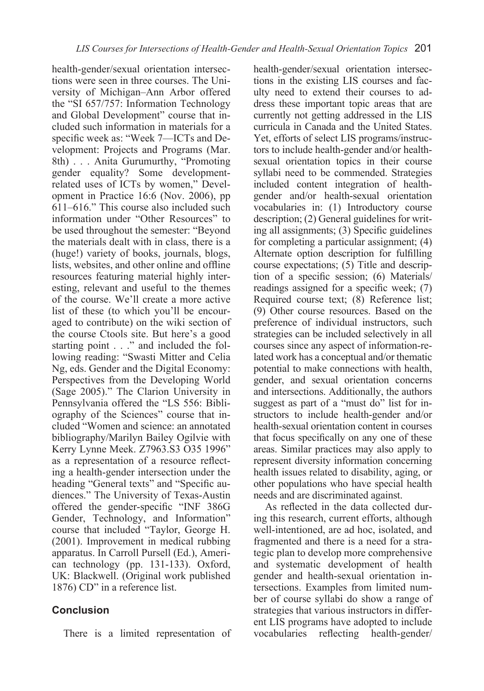health-gender/sexual orientation intersections were seen in three courses. The University of Michigan–Ann Arbor offered the "SI 657/757: Information Technology and Global Development" course that included such information in materials for a specific week as: "Week 7—ICTs and Development: Projects and Programs (Mar. 8th) . . . Anita Gurumurthy, "Promoting gender equality? Some developmentrelated uses of ICTs by women," Development in Practice 16:6 (Nov. 2006), pp 611–616." This course also included such information under "Other Resources" to be used throughout the semester: "Beyond the materials dealt with in class, there is a (huge!) variety of books, journals, blogs, lists, websites, and other online and offline resources featuring material highly interesting, relevant and useful to the themes of the course. We'll create a more active list of these (to which you'll be encouraged to contribute) on the wiki section of the course Ctools site. But here's a good starting point . . ." and included the following reading: "Swasti Mitter and Celia Ng, eds. Gender and the Digital Economy: Perspectives from the Developing World (Sage 2005)." The Clarion University in Pennsylvania offered the "LS 556: Bibliography of the Sciences" course that included "Women and science: an annotated bibliography/Marilyn Bailey Ogilvie with Kerry Lynne Meek. Z7963.S3 O35 1996" as a representation of a resource reflecting a health-gender intersection under the heading "General texts" and "Specific audiences." The University of Texas-Austin offered the gender-specific "INF 386G Gender, Technology, and Information" course that included "Taylor, George H. (2001). Improvement in medical rubbing apparatus. In Carroll Pursell (Ed.), American technology (pp. 131-133). Oxford, UK: Blackwell. (Original work published 1876) CD" in a reference list.

### **Conclusion**

There is a limited representation of

health-gender/sexual orientation intersections in the existing LIS courses and faculty need to extend their courses to address these important topic areas that are currently not getting addressed in the LIS curricula in Canada and the United States. Yet, efforts of select LIS programs/instructors to include health-gender and/or healthsexual orientation topics in their course syllabi need to be commended. Strategies included content integration of healthgender and/or health-sexual orientation vocabularies in: (1) Introductory course description; (2) General guidelines for writing all assignments; (3) Specific guidelines for completing a particular assignment; (4) Alternate option description for fulfilling course expectations; (5) Title and description of a specific session; (6) Materials/ readings assigned for a specific week; (7) Required course text; (8) Reference list; (9) Other course resources. Based on the preference of individual instructors, such strategies can be included selectively in all courses since any aspect of information-related work has a conceptual and/or thematic potential to make connections with health, gender, and sexual orientation concerns and intersections. Additionally, the authors suggest as part of a "must do" list for instructors to include health-gender and/or health-sexual orientation content in courses that focus specifically on any one of these areas. Similar practices may also apply to represent diversity information concerning health issues related to disability, aging, or other populations who have special health needs and are discriminated against.

As reflected in the data collected during this research, current efforts, although well-intentioned, are ad hoc, isolated, and fragmented and there is a need for a strategic plan to develop more comprehensive and systematic development of health gender and health-sexual orientation intersections. Examples from limited number of course syllabi do show a range of strategies that various instructors in different LIS programs have adopted to include vocabularies reflecting health-gender/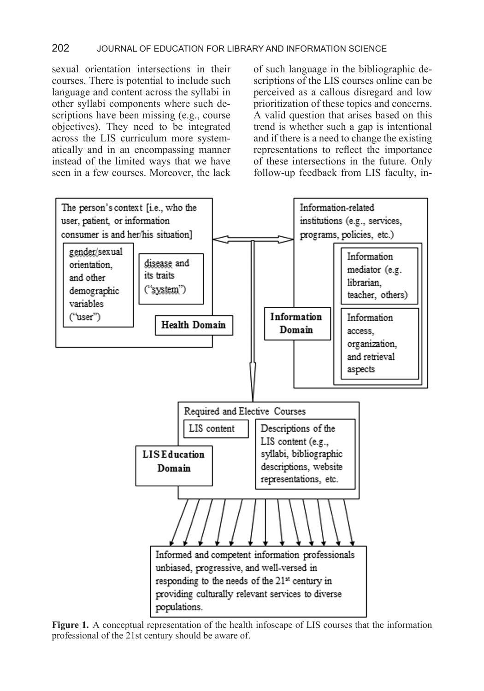#### 202 JOURNAL OF EDUCATION FOR LIBRARY AND INFORMATION SCIENCE

sexual orientation intersections in their courses. There is potential to include such language and content across the syllabi in other syllabi components where such descriptions have been missing (e.g., course objectives). They need to be integrated across the LIS curriculum more systematically and in an encompassing manner instead of the limited ways that we have seen in a few courses. Moreover, the lack of such language in the bibliographic descriptions of the LIS courses online can be perceived as a callous disregard and low prioritization of these topics and concerns. A valid question that arises based on this trend is whether such a gap is intentional and if there is a need to change the existing representations to reflect the importance of these intersections in the future. Only follow-up feedback from LIS faculty, in-



**Figure 1.** A conceptual representation of the health infoscape of LIS courses that the information professional of the 21st century should be aware of.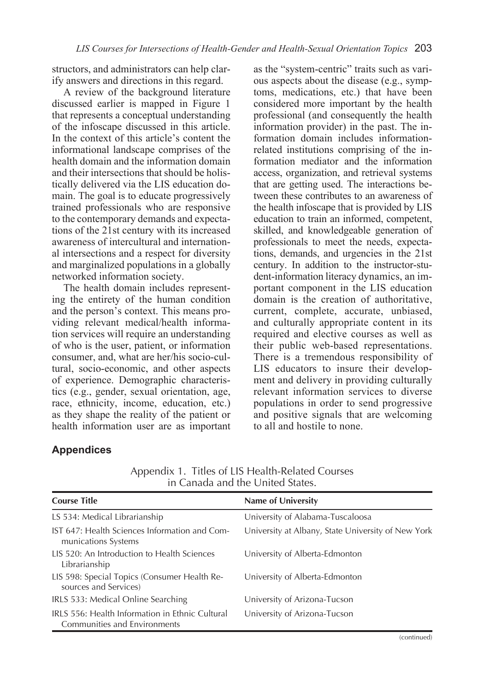structors, and administrators can help clarify answers and directions in this regard.

A review of the background literature discussed earlier is mapped in Figure 1 that represents a conceptual understanding of the infoscape discussed in this article. In the context of this article's content the informational landscape comprises of the health domain and the information domain and their intersections that should be holistically delivered via the LIS education domain. The goal is to educate progressively trained professionals who are responsive to the contemporary demands and expectations of the 21st century with its increased awareness of intercultural and international intersections and a respect for diversity and marginalized populations in a globally networked information society.

The health domain includes representing the entirety of the human condition and the person's context. This means providing relevant medical/health information services will require an understanding of who is the user, patient, or information consumer, and, what are her/his socio-cultural, socio-economic, and other aspects of experience. Demographic characteristics (e.g., gender, sexual orientation, age, race, ethnicity, income, education, etc.) as they shape the reality of the patient or health information user are as important

as the "system-centric" traits such as various aspects about the disease (e.g., symptoms, medications, etc.) that have been considered more important by the health professional (and consequently the health information provider) in the past. The information domain includes informationrelated institutions comprising of the information mediator and the information access, organization, and retrieval systems that are getting used. The interactions between these contributes to an awareness of the health infoscape that is provided by LIS education to train an informed, competent, skilled, and knowledgeable generation of professionals to meet the needs, expectations, demands, and urgencies in the 21st century. In addition to the instructor-student-information literacy dynamics, an important component in the LIS education domain is the creation of authoritative, current, complete, accurate, unbiased, and culturally appropriate content in its required and elective courses as well as their public web-based representations. There is a tremendous responsibility of LIS educators to insure their development and delivery in providing culturally relevant information services to diverse populations in order to send progressive and positive signals that are welcoming to all and hostile to none.

## **Appendices**

| <b>Course Title</b>                                                             | Name of University                                 |
|---------------------------------------------------------------------------------|----------------------------------------------------|
| LS 534: Medical Librarianship                                                   | University of Alabama-Tuscaloosa                   |
| IST 647: Health Sciences Information and Com-<br>munications Systems            | University at Albany, State University of New York |
| LIS 520: An Introduction to Health Sciences<br>Librarianship                    | University of Alberta-Edmonton                     |
| LIS 598: Special Topics (Consumer Health Re-<br>sources and Services)           | University of Alberta-Edmonton                     |
| IRLS 533: Medical Online Searching                                              | University of Arizona-Tucson                       |
| IRLS 556: Health Information in Ethnic Cultural<br>Communities and Environments | University of Arizona-Tucson                       |

Appendix 1. Titles of LIS Health-Related Courses in Canada and the United States.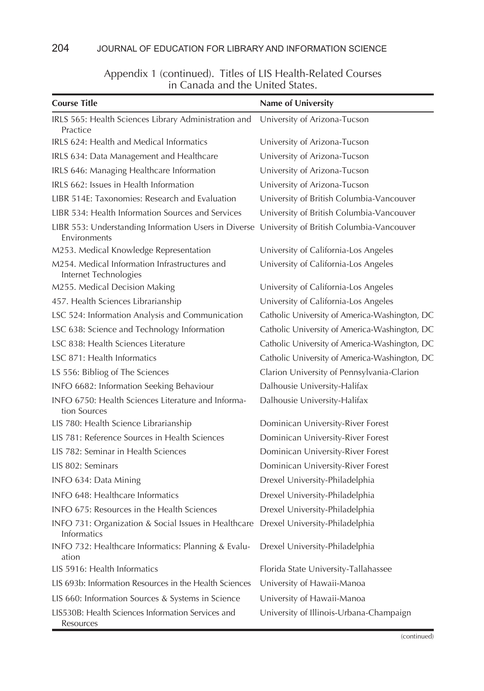| <b>Course Title</b>                                                                                | Name of University                            |
|----------------------------------------------------------------------------------------------------|-----------------------------------------------|
| IRLS 565: Health Sciences Library Administration and                                               | University of Arizona-Tucson                  |
| Practice                                                                                           |                                               |
| IRLS 624: Health and Medical Informatics                                                           | University of Arizona-Tucson                  |
| IRLS 634: Data Management and Healthcare                                                           | University of Arizona-Tucson                  |
| IRLS 646: Managing Healthcare Information                                                          | University of Arizona-Tucson                  |
| IRLS 662: Issues in Health Information                                                             | University of Arizona-Tucson                  |
| LIBR 514E: Taxonomies: Research and Evaluation                                                     | University of British Columbia-Vancouver      |
| LIBR 534: Health Information Sources and Services                                                  | University of British Columbia-Vancouver      |
| LIBR 553: Understanding Information Users in Diverse<br>Environments                               | University of British Columbia-Vancouver      |
| M253. Medical Knowledge Representation                                                             | University of California-Los Angeles          |
| M254. Medical Information Infrastructures and<br>Internet Technologies                             | University of California-Los Angeles          |
| M255. Medical Decision Making                                                                      | University of California-Los Angeles          |
| 457. Health Sciences Librarianship                                                                 | University of California-Los Angeles          |
| LSC 524: Information Analysis and Communication                                                    | Catholic University of America-Washington, DC |
| LSC 638: Science and Technology Information                                                        | Catholic University of America-Washington, DC |
| LSC 838: Health Sciences Literature                                                                | Catholic University of America-Washington, DC |
| LSC 871: Health Informatics                                                                        | Catholic University of America-Washington, DC |
| LS 556: Bibliog of The Sciences                                                                    | Clarion University of Pennsylvania-Clarion    |
| INFO 6682: Information Seeking Behaviour                                                           | Dalhousie University-Halifax                  |
| INFO 6750: Health Sciences Literature and Informa-<br>tion Sources                                 | Dalhousie University-Halifax                  |
| LIS 780: Health Science Librarianship                                                              | Dominican University-River Forest             |
| LIS 781: Reference Sources in Health Sciences                                                      | Dominican University-River Forest             |
| LIS 782: Seminar in Health Sciences                                                                | Dominican University-River Forest             |
| LIS 802: Seminars                                                                                  | Dominican University-River Forest             |
| INFO 634: Data Mining                                                                              | Drexel University-Philadelphia                |
| INFO 648: Healthcare Informatics                                                                   | Drexel University-Philadelphia                |
| INFO 675: Resources in the Health Sciences                                                         | Drexel University-Philadelphia                |
| INFO 731: Organization & Social Issues in Healthcare Drexel University-Philadelphia<br>Informatics |                                               |
| INFO 732: Healthcare Informatics: Planning & Evalu-<br>ation                                       | Drexel University-Philadelphia                |
| LIS 5916: Health Informatics                                                                       | Florida State University-Tallahassee          |
| LIS 693b: Information Resources in the Health Sciences                                             | University of Hawaii-Manoa                    |
| LIS 660: Information Sources & Systems in Science                                                  | University of Hawaii-Manoa                    |
| LIS530B: Health Sciences Information Services and<br>Resources                                     | University of Illinois-Urbana-Champaign       |

#### Appendix 1 (continued). Titles of LIS Health-Related Courses in Canada and the United States.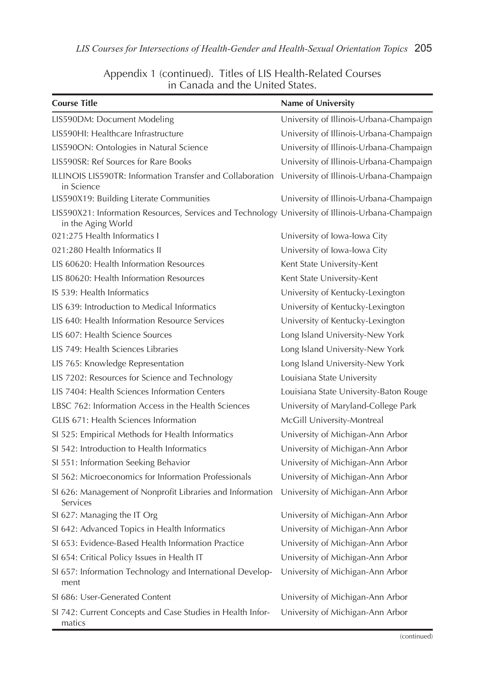| Appendix 1 (continued). Titles of LIS Health-Related Courses |
|--------------------------------------------------------------|
| in Canada and the United States.                             |

| <b>Course Title</b>                                                                                                     | Name of University                      |
|-------------------------------------------------------------------------------------------------------------------------|-----------------------------------------|
| LIS590DM: Document Modeling                                                                                             | University of Illinois-Urbana-Champaign |
| LIS590HI: Healthcare Infrastructure                                                                                     | University of Illinois-Urbana-Champaign |
| LIS590ON: Ontologies in Natural Science                                                                                 | University of Illinois-Urbana-Champaign |
| LIS590SR: Ref Sources for Rare Books                                                                                    | University of Illinois-Urbana-Champaign |
| ILLINOIS LIS590TR: Information Transfer and Collaboration<br>in Science                                                 | University of Illinois-Urbana-Champaign |
| LIS590X19: Building Literate Communities                                                                                | University of Illinois-Urbana-Champaign |
| LIS590X21: Information Resources, Services and Technology University of Illinois-Urbana-Champaign<br>in the Aging World |                                         |
| 021:275 Health Informatics I                                                                                            | University of Iowa-Iowa City            |
| 021:280 Health Informatics II                                                                                           | University of Iowa-Iowa City            |
| LIS 60620: Health Information Resources                                                                                 | Kent State University-Kent              |
| LIS 80620: Health Information Resources                                                                                 | Kent State University-Kent              |
| IS 539: Health Informatics                                                                                              | University of Kentucky-Lexington        |
| LIS 639: Introduction to Medical Informatics                                                                            | University of Kentucky-Lexington        |
| LIS 640: Health Information Resource Services                                                                           | University of Kentucky-Lexington        |
| LIS 607: Health Science Sources                                                                                         | Long Island University-New York         |
| LIS 749: Health Sciences Libraries                                                                                      | Long Island University-New York         |
| LIS 765: Knowledge Representation                                                                                       | Long Island University-New York         |
| LIS 7202: Resources for Science and Technology                                                                          | Louisiana State University              |
| LIS 7404: Health Sciences Information Centers                                                                           | Louisiana State University-Baton Rouge  |
| LBSC 762: Information Access in the Health Sciences                                                                     | University of Maryland-College Park     |
| GLIS 671: Health Sciences Information                                                                                   | McGill University-Montreal              |
| SI 525: Empirical Methods for Health Informatics                                                                        | University of Michigan-Ann Arbor        |
| SI 542: Introduction to Health Informatics                                                                              | University of Michigan-Ann Arbor        |
| SI 551: Information Seeking Behavior                                                                                    | University of Michigan-Ann Arbor        |
| SI 562: Microeconomics for Information Professionals                                                                    | University of Michigan-Ann Arbor        |
| SI 626: Management of Nonprofit Libraries and Information<br>Services                                                   | University of Michigan-Ann Arbor        |
| SI 627: Managing the IT Org                                                                                             | University of Michigan-Ann Arbor        |
| SI 642: Advanced Topics in Health Informatics                                                                           | University of Michigan-Ann Arbor        |
| SI 653: Evidence-Based Health Information Practice                                                                      | University of Michigan-Ann Arbor        |
| SI 654: Critical Policy Issues in Health IT                                                                             | University of Michigan-Ann Arbor        |
| SI 657: Information Technology and International Develop-<br>ment                                                       | University of Michigan-Ann Arbor        |
| SI 686: User-Generated Content                                                                                          | University of Michigan-Ann Arbor        |
| SI 742: Current Concepts and Case Studies in Health Infor-<br>matics                                                    | University of Michigan-Ann Arbor        |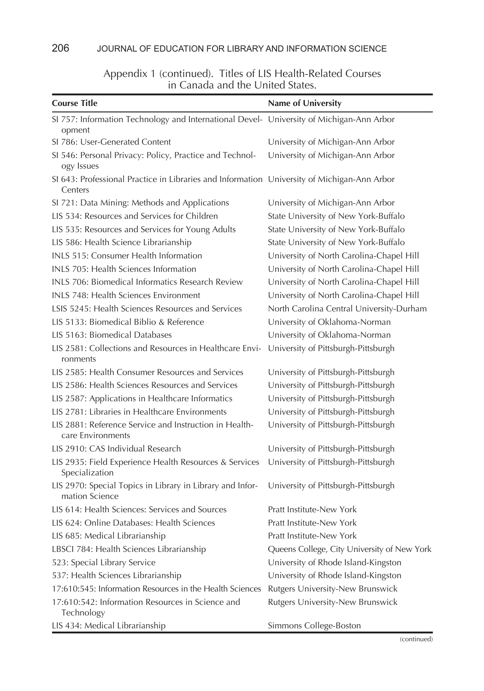#### 206 JOURNAL OF EDUCATION FOR LIBRARY AND INFORMATION SCIENCE

#### **Course Title Name of University** SI 757: Information Technology and International Devel-University of Michigan-Ann Arbor opment SI 786: User-Generated Content University of Michigan-Ann Arbor SI 546: Personal Privacy: Policy, Practice and Technology Issues University of Michigan-Ann Arbor SI 643: Professional Practice in Libraries and Information University of Michigan-Ann Arbor **Centers** SI 721: Data Mining: Methods and Applications University of Michigan-Ann Arbor LIS 534: Resources and Services for Children State University of New York-Buffalo LIS 535: Resources and Services for Young Adults State University of New York-Buffalo LIS 586: Health Science Librarianship State University of New York-Buffalo INLS 515: Consumer Health Information University of North Carolina-Chapel Hill INLS 705: Health Sciences Information University of North Carolina-Chapel Hill INLS 706: Biomedical Informatics Research Review University of North Carolina-Chapel Hill INLS 748: Health Sciences Environment University of North Carolina-Chapel Hill LSIS 5245: Health Sciences Resources and Services North Carolina Central University-Durham LIS 5133: Biomedical Biblio & Reference University of Oklahoma-Norman LIS 5163: Biomedical Databases University of Oklahoma-Norman LIS 2581: Collections and Resources in Healthcare Environments University of Pittsburgh-Pittsburgh LIS 2585: Health Consumer Resources and Services University of Pittsburgh-Pittsburgh LIS 2586: Health Sciences Resources and Services University of Pittsburgh-Pittsburgh LIS 2587: Applications in Healthcare Informatics University of Pittsburgh-Pittsburgh LIS 2781: Libraries in Healthcare Environments University of Pittsburgh-Pittsburgh LIS 2881: Reference Service and Instruction in Healthcare Environments University of Pittsburgh-Pittsburgh LIS 2910: CAS Individual Research University of Pittsburgh-Pittsburgh LIS 2935: Field Experience Health Resources & Services Specialization University of Pittsburgh-Pittsburgh LIS 2970: Special Topics in Library in Library and Information Science University of Pittsburgh-Pittsburgh LIS 614: Health Sciences: Services and Sources Pratt Institute-New York LIS 624: Online Databases: Health Sciences Pratt Institute-New York LIS 685: Medical Librarianship **Pratt Institute-New York** Pratt Institute-New York LBSCI 784: Health Sciences Librarianship Queens College, City University of New York 523: Special Library Service University of Rhode Island-Kingston 537: Health Sciences Librarianship University of Rhode Island-Kingston 17:610:545: Information Resources in the Health Sciences Rutgers University-New Brunswick 17:610:542: Information Resources in Science and Technology Rutgers University-New Brunswick

## Appendix 1 (continued). Titles of LIS Health-Related Courses in Canada and the United States.

LIS 434: Medical Librarianship Simmons College-Boston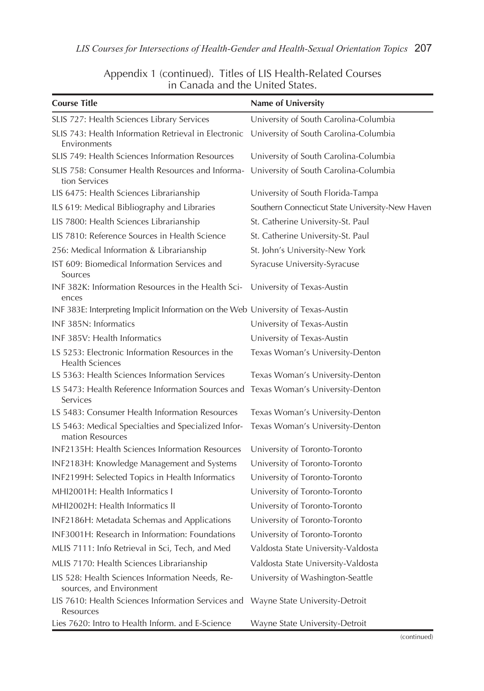| <b>Course Title</b>                                                               | Name of University                              |
|-----------------------------------------------------------------------------------|-------------------------------------------------|
| SLIS 727: Health Sciences Library Services                                        | University of South Carolina-Columbia           |
| SLIS 743: Health Information Retrieval in Electronic<br>Environments              | University of South Carolina-Columbia           |
| SLIS 749: Health Sciences Information Resources                                   | University of South Carolina-Columbia           |
| SLIS 758: Consumer Health Resources and Informa-<br>tion Services                 | University of South Carolina-Columbia           |
| LIS 6475: Health Sciences Librarianship                                           | University of South Florida-Tampa               |
| ILS 619: Medical Bibliography and Libraries                                       | Southern Connecticut State University-New Haven |
| LIS 7800: Health Sciences Librarianship                                           | St. Catherine University-St. Paul               |
| LIS 7810: Reference Sources in Health Science                                     | St. Catherine University-St. Paul               |
| 256: Medical Information & Librarianship                                          | St. John's University-New York                  |
| IST 609: Biomedical Information Services and<br>Sources                           | Syracuse University-Syracuse                    |
| INF 382K: Information Resources in the Health Sci-<br>ences                       | University of Texas-Austin                      |
| INF 383E: Interpreting Implicit Information on the Web University of Texas-Austin |                                                 |
| INF 385N: Informatics                                                             | University of Texas-Austin                      |
| INF 385V: Health Informatics                                                      | University of Texas-Austin                      |
| LS 5253: Electronic Information Resources in the<br><b>Health Sciences</b>        | Texas Woman's University-Denton                 |
| LS 5363: Health Sciences Information Services                                     | Texas Woman's University-Denton                 |
| LS 5473: Health Reference Information Sources and<br>Services                     | Texas Woman's University-Denton                 |
| LS 5483: Consumer Health Information Resources                                    | Texas Woman's University-Denton                 |
| LS 5463: Medical Specialties and Specialized Infor-<br>mation Resources           | Texas Woman's University-Denton                 |
| INF2135H: Health Sciences Information Resources                                   | University of Toronto-Toronto                   |
| INF2183H: Knowledge Management and Systems                                        | University of Toronto-Toronto                   |
| INF2199H: Selected Topics in Health Informatics                                   | University of Toronto-Toronto                   |
| MHI2001H: Health Informatics I                                                    | University of Toronto-Toronto                   |
| MHI2002H: Health Informatics II                                                   | University of Toronto-Toronto                   |
| INF2186H: Metadata Schemas and Applications                                       | University of Toronto-Toronto                   |
| INF3001H: Research in Information: Foundations                                    | University of Toronto-Toronto                   |
| MLIS 7111: Info Retrieval in Sci, Tech, and Med                                   | Valdosta State University-Valdosta              |
| MLIS 7170: Health Sciences Librarianship                                          | Valdosta State University-Valdosta              |
| LIS 528: Health Sciences Information Needs, Re-<br>sources, and Environment       | University of Washington-Seattle                |
| LIS 7610: Health Sciences Information Services and<br>Resources                   | Wayne State University-Detroit                  |
| Lies 7620: Intro to Health Inform. and E-Science                                  | Wayne State University-Detroit                  |

#### Appendix 1 (continued). Titles of LIS Health-Related Courses in Canada and the United States.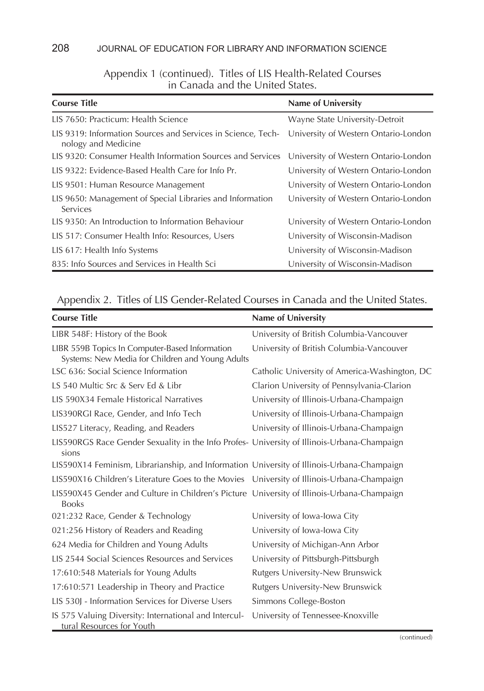#### 208 JOURNAL OF EDUCATION FOR LIBRARY AND INFORMATION SCIENCE

#### Appendix 1 (continued). Titles of LIS Health-Related Courses in Canada and the United States.

| <b>Course Title</b>                                                                 | Name of University                   |
|-------------------------------------------------------------------------------------|--------------------------------------|
| LIS 7650: Practicum: Health Science                                                 | Wayne State University-Detroit       |
| LIS 9319: Information Sources and Services in Science, Tech-<br>nology and Medicine | University of Western Ontario-London |
| LIS 9320: Consumer Health Information Sources and Services                          | University of Western Ontario-London |
| LIS 9322: Evidence-Based Health Care for Info Pr.                                   | University of Western Ontario-London |
| LIS 9501: Human Resource Management                                                 | University of Western Ontario-London |
| LIS 9650: Management of Special Libraries and Information<br>Services               | University of Western Ontario-London |
| LIS 9350: An Introduction to Information Behaviour                                  | University of Western Ontario-London |
| LIS 517: Consumer Health Info: Resources, Users                                     | University of Wisconsin-Madison      |
| LIS 617: Health Info Systems                                                        | University of Wisconsin-Madison      |
| 835: Info Sources and Services in Health Sci                                        | University of Wisconsin-Madison      |

## Appendix 2. Titles of LIS Gender-Related Courses in Canada and the United States.

| <b>Course Title</b>                                                                                        | Name of University                            |
|------------------------------------------------------------------------------------------------------------|-----------------------------------------------|
| LIBR 548F: History of the Book                                                                             | University of British Columbia-Vancouver      |
| LIBR 559B Topics In Computer-Based Information<br>Systems: New Media for Children and Young Adults         | University of British Columbia-Vancouver      |
| LSC 636: Social Science Information                                                                        | Catholic University of America-Washington, DC |
| LS 540 Multic Src & Serv Ed & Libr                                                                         | Clarion University of Pennsylvania-Clarion    |
| LIS 590X34 Female Historical Narratives                                                                    | University of Illinois-Urbana-Champaign       |
| LIS390RGI Race, Gender, and Info Tech                                                                      | University of Illinois-Urbana-Champaign       |
| LIS527 Literacy, Reading, and Readers                                                                      | University of Illinois-Urbana-Champaign       |
| LIS590RGS Race Gender Sexuality in the Info Profes- University of Illinois-Urbana-Champaign<br>sions       |                                               |
| LIS590X14 Feminism, Librarianship, and Information University of Illinois-Urbana-Champaign                 |                                               |
| LIS590X16 Children's Literature Goes to the Movies University of Illinois-Urbana-Champaign                 |                                               |
| LIS590X45 Gender and Culture in Children's Picture University of Illinois-Urbana-Champaign<br><b>Books</b> |                                               |
| 021:232 Race, Gender & Technology                                                                          | University of Iowa-Iowa City                  |
| 021:256 History of Readers and Reading                                                                     | University of Iowa-Iowa City                  |
| 624 Media for Children and Young Adults                                                                    | University of Michigan-Ann Arbor              |
| LIS 2544 Social Sciences Resources and Services                                                            | University of Pittsburgh-Pittsburgh           |
| 17:610:548 Materials for Young Adults                                                                      | Rutgers University-New Brunswick              |
| 17:610:571 Leadership in Theory and Practice                                                               | Rutgers University-New Brunswick              |
| LIS 530J - Information Services for Diverse Users                                                          | Simmons College-Boston                        |
| IS 575 Valuing Diversity: International and Intercul-<br>tural Resources for Youth                         | University of Tennessee-Knoxville             |

<sup>(</sup>continued)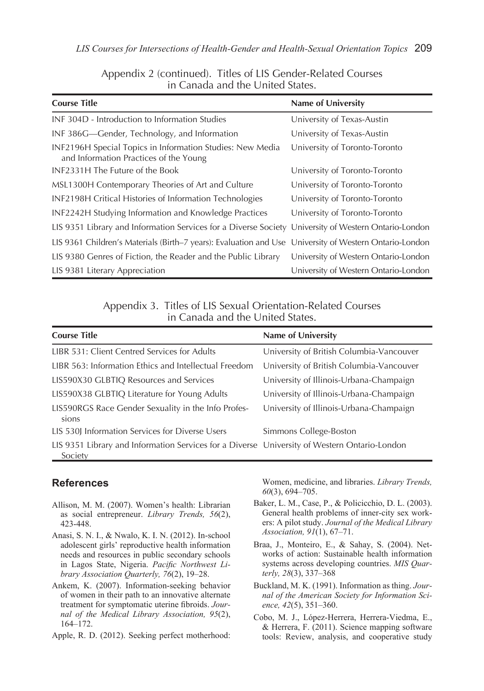| <b>Course Title</b>                                                                                    | Name of University                   |
|--------------------------------------------------------------------------------------------------------|--------------------------------------|
| INF 304D - Introduction to Information Studies                                                         | University of Texas-Austin           |
| INF 386G—Gender, Technology, and Information                                                           | University of Texas-Austin           |
| INF2196H Special Topics in Information Studies: New Media<br>and Information Practices of the Young    | University of Toronto-Toronto        |
| INF2331H The Future of the Book                                                                        | University of Toronto-Toronto        |
| MSL1300H Contemporary Theories of Art and Culture                                                      | University of Toronto-Toronto        |
| INF2198H Critical Histories of Information Technologies                                                | University of Toronto-Toronto        |
| INF2242H Studying Information and Knowledge Practices                                                  | University of Toronto-Toronto        |
| LIS 9351 Library and Information Services for a Diverse Society University of Western Ontario-London   |                                      |
| LIS 9361 Children's Materials (Birth-7 years): Evaluation and Use University of Western Ontario-London |                                      |
| LIS 9380 Genres of Fiction, the Reader and the Public Library                                          | University of Western Ontario-London |
| LIS 9381 Literary Appreciation                                                                         | University of Western Ontario-London |

Appendix 2 (continued). Titles of LIS Gender-Related Courses in Canada and the United States.

Appendix 3. Titles of LIS Sexual Orientation-Related Courses in Canada and the United States.

| <b>Course Title</b>                                                                                     | Name of University                       |
|---------------------------------------------------------------------------------------------------------|------------------------------------------|
| LIBR 531: Client Centred Services for Adults                                                            | University of British Columbia-Vancouver |
| LIBR 563: Information Ethics and Intellectual Freedom                                                   | University of British Columbia-Vancouver |
| LIS590X30 GLBTIQ Resources and Services                                                                 | University of Illinois-Urbana-Champaign  |
| LIS590X38 GLBTIQ Literature for Young Adults                                                            | University of Illinois-Urbana-Champaign  |
| LIS590RGS Race Gender Sexuality in the Info Profes-<br>sions                                            | University of Illinois-Urbana-Champaign  |
| LIS 530J Information Services for Diverse Users                                                         | Simmons College-Boston                   |
| LIS 9351 Library and Information Services for a Diverse University of Western Ontario-London<br>Society |                                          |

### **References**

- Allison, M. M. (2007). Women's health: Librarian as social entrepreneur. *Library Trends, 56*(2), 423-448.
- Anasi, S. N. I., & Nwalo, K. I. N. (2012). In-school adolescent girls' reproductive health information needs and resources in public secondary schools in Lagos State, Nigeria. *Pacific Northwest Library Association Quarterly, 76*(2), 19–28.
- Ankem, K. (2007). Information-seeking behavior of women in their path to an innovative alternate treatment for symptomatic uterine fibroids. *Journal of the Medical Library Association, 95*(2), 164–172.
- Apple, R. D. (2012). Seeking perfect motherhood:

Women, medicine, and libraries. *Library Trends, 60*(3), 694–705.

- Baker, L. M., Case, P., & Policicchio, D. L. (2003). General health problems of inner-city sex workers: A pilot study. *Journal of the Medical Library Association, 91*(1), 67–71.
- Braa, J., Monteiro, E., & Sahay, S. (2004). Networks of action: Sustainable health information systems across developing countries. *MIS Quarterly, 28*(3), 337–368
- Buckland, M. K. (1991). Information as thing. *Journal of the American Society for Information Science, 42*(5), 351–360.
- Cobo, M. J., López-Herrera, Herrera-Viedma, E., & Herrera, F. (2011). Science mapping software tools: Review, analysis, and cooperative study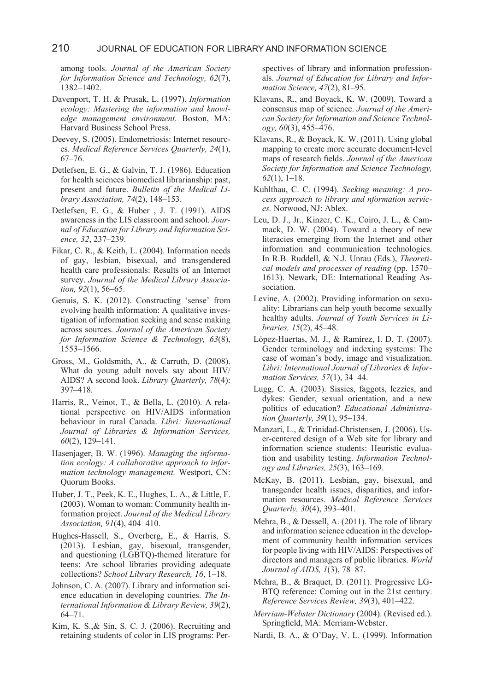among tools. *Journal of the American Society for Information Science and Technology, 62*(7), 1382–1402.

- Davenport, T. H. & Prusak, L. (1997). *Information ecology: Mastering the information and knowledge management environment.* Boston, MA: Harvard Business School Press.
- Deevey, S. (2005). Endometriosis: Internet resources. *Medical Reference Services Quarterly, 24*(1), 67–76.
- Detlefsen, E. G., & Galvin, T. J. (1986). Education for health sciences biomedical librarianship: past, present and future. *Bulletin of the Medical Library Association, 74*(2), 148–153.
- Detlefsen, E. G., & Huber , J. T. (1991). AIDS awareness in the LIS classroom and school. *Journal of Education for Library and Information Science, 32*, 237–239.
- Fikar, C. R., & Keith, L. (2004). Information needs of gay, lesbian, bisexual, and transgendered health care professionals: Results of an Internet survey. *Journal of the Medical Library Association, 92*(1), 56–65.
- Genuis, S. K. (2012). Constructing 'sense' from evolving health information: A qualitative investigation of information seeking and sense making across sources. *Journal of the American Society for Information Science & Technology, 63*(8), 1553–1566.
- Gross, M., Goldsmith, A., & Carruth, D. (2008). What do young adult novels say about HIV/ AIDS? A second look. *Library Quarterly, 78*(4): 397–418.
- Harris, R., Veinot, T., & Bella, L. (2010). A relational perspective on HIV/AIDS information behaviour in rural Canada. *Libri: International Journal of Libraries & Information Services, 60*(2), 129–141.
- Hasenjager, B. W. (1996). *Managing the information ecology: A collaborative approach to information technology management.* Westport, CN: Quorum Books.
- Huber, J. T., Peek, K. E., Hughes, L. A., & Little, F. (2003). Woman to woman: Community health information project. *Journal of the Medical Library Association, 91*(4), 404–410.
- Hughes-Hassell, S., Overberg, E., & Harris, S. (2013). Lesbian, gay, bisexual, transgender, and questioning (LGBTQ)-themed literature for teens: Are school libraries providing adequate collections? *School Library Research, 16*, 1–18.
- Johnson, C. A. (2007). Library and information science education in developing countries. *The International Information & Library Review, 39*(2), 64–71.
- Kim, K. S.,& Sin, S. C. J. (2006). Recruiting and retaining students of color in LIS programs: Per-

spectives of library and information professionals. *Journal of Education for Library and Information Science, 47*(2), 81–95.

- Klavans, R., and Boyack, K. W. (2009). Toward a consensus map of science. *Journal of the American Society for Information and Science Technology, 60*(3), 455–476.
- Klavans, R., & Boyack, K. W. (2011). Using global mapping to create more accurate document-level maps of research fields. *Journal of the American Society for Information and Science Technology, 62*(1), 1–18.
- Kuhlthau, C. C. (1994). *Seeking meaning: A process approach to library and nformation services.* Norwood, NJ: Ablex.
- Leu, D. J., Jr., Kinzer, C. K., Coiro, J. L., & Cammack, D. W. (2004). Toward a theory of new literacies emerging from the Internet and other information and communication technologies. In R.B. Ruddell, & N.J. Unrau (Eds.), *Theoretical models and processes of reading* (pp. 1570– 1613). Newark, DE: International Reading Association.
- Levine, A. (2002). Providing information on sexuality: Librarians can help youth become sexually healthy adults. *Journal of Youth Services in Libraries, 15*(2), 45–48.
- López-Huertas, M. J., & Ramírez, I. D. T. (2007). Gender terminology and indexing systems: The case of woman's body, image and visualization. *Libri: International Journal of Libraries & Information Services, 57*(1), 34–44.
- Lugg, C. A. (2003). Sissies, faggots, lezzies, and dykes: Gender, sexual orientation, and a new politics of education? *Educational Administration Quarterly, 39*(1), 95–134.
- Manzari, L., & Trinidad-Christensen, J. (2006). User-centered design of a Web site for library and information science students: Heuristic evaluation and usability testing. *Information Technology and Libraries, 25*(3), 163–169.
- McKay, B. (2011). Lesbian, gay, bisexual, and transgender health issues, disparities, and information resources. *Medical Reference Services Quarterly, 30*(4), 393–401.
- Mehra, B., & Dessell, A. (2011). The role of library and information science education in the development of community health information services for people living with HIV/AIDS: Perspectives of directors and managers of public libraries. *World Journal of AIDS, 1*(3), 78–87.
- Mehra, B., & Braquet, D. (2011). Progressive LG-BTQ reference: Coming out in the 21st century. *Reference Services Review, 39*(3), 401–422.
- *Merriam-Webster Dictionary* (2004). (Revised ed.). Springfield, MA: Merriam-Webster.
- Nardi, B. A., & O'Day, V. L. (1999). Information